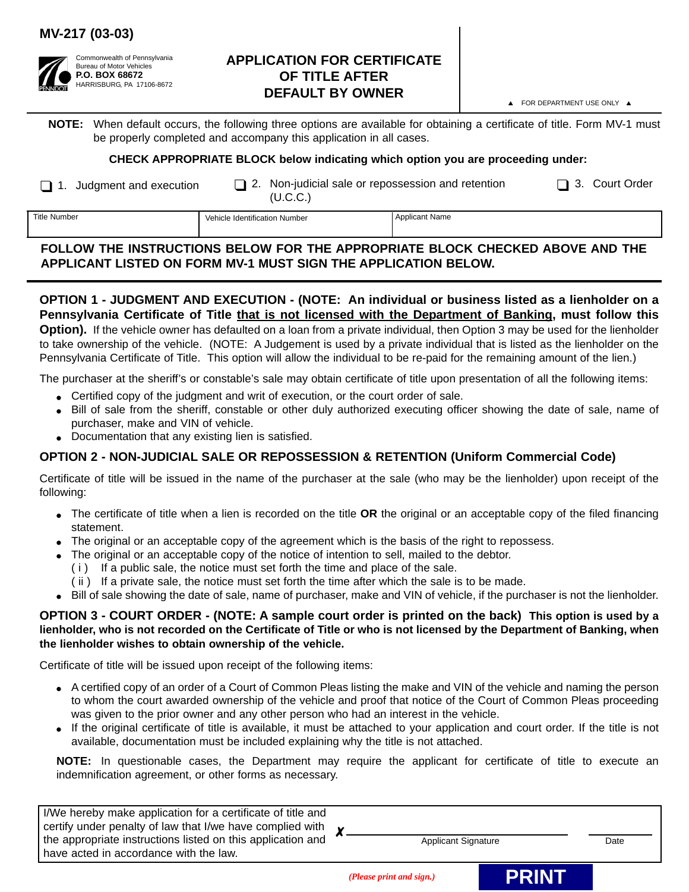## **MV-217 (03-03)**



### **APPLICATION FOR CERTIFICATE OF TITLE AFTER DEFAULT BY OWNER**

A FOR DEPARTMENT USE ONLY A

**NOTE:** When default occurs, the following three options are available for obtaining a certificate of title. Form MV-1 must be properly completed and accompany this application in all cases.

#### **CHECK APPROPRIATE BLOCK below indicating which option you are proceeding under:**

1. Judgment and execution  $\Box$  2. Non-judicial sale or repossession and retention  $\Box$  3. Court Order (U.C.C.)

| I | Title Numb |
|---|------------|
|---|------------|

The Title of Number Applicant Name of Number Applicant Name (Applicant Name

# **FOLLOW THE INSTRUCTIONS BELOW FOR THE APPROPRIATE BLOCK CHECKED ABOVE AND THE APPLICANT LISTED ON FORM MV-1 MUST SIGN THE APPLICATION BELOW.**

**OPTION 1 - JUDGMENT AND EXECUTION - (NOTE: An individual or business listed as a lienholder on a** Pennsylvania Certificate of Title that is not licensed with the Department of Banking, must follow this **Option).** If the vehicle owner has defaulted on a loan from a private individual, then Option 3 may be used for the lienholder to take ownership of the vehicle. (NOTE: A Judgement is used by a private individual that is listed as the lienholder on the Pennsylvania Certificate of Title. This option will allow the individual to be re-paid for the remaining amount of the lien.)

The purchaser at the sheriff's or constable's sale may obtain certificate of title upon presentation of all the following items:

- Certified copy of the judgment and writ of execution, or the court order of sale.
- <sup>O</sup> Bill of sale from the sheriff, constable or other duly authorized executing officer showing the date of sale, name of purchaser, make and VIN of vehicle.
- Documentation that any existing lien is satisfied.

## **OPTION 2 - NON-JUDICIAL SALE OR REPOSSESSION & RETENTION (Uniform Commercial Code)**

Certificate of title will be issued in the name of the purchaser at the sale (who may be the lienholder) upon receipt of the following:

- <sup>O</sup> The certificate of title when a lien is recorded on the title **OR** the original or an acceptable copy of the filed financing statement.
- $\bullet$  The original or an acceptable copy of the agreement which is the basis of the right to repossess.
- The original or an acceptable copy of the notice of intention to sell, mailed to the debtor.
	- ( i ) If a public sale, the notice must set forth the time and place of the sale.
	- ( ii ) If a private sale, the notice must set forth the time after which the sale is to be made.
- Bill of sale showing the date of sale, name of purchaser, make and VIN of vehicle, if the purchaser is not the lienholder.

#### **OPTION 3 - COURT ORDER - (NOTE: A sample court order is printed on the back) This option is used by a lienholder, who is not recorded on the Certificate of Title or who is not licensed by the Department of Banking, when the lienholder wishes to obtain ownership of the vehicle.**

Certificate of title will be issued upon receipt of the following items:

- A certified copy of an order of a Court of Common Pleas listing the make and VIN of the vehicle and naming the person to whom the court awarded ownership of the vehicle and proof that notice of the Court of Common Pleas proceeding was given to the prior owner and any other person who had an interest in the vehicle.
- <sup>O</sup> If the original certificate of title is available, it must be attached to your application and court order. If the title is not available, documentation must be included explaining why the title is not attached.

**NOTE:** In questionable cases, the Department may require the applicant for certificate of title to execute an indemnification agreement, or other forms as necessary.

I/We hereby make application for a certificate of title and certify under penalty of law that I/we have complied with the appropriate instructions listed on this application and have acted in accordance with the law. χ.

Applicant Signature Date

*(Please print and sign.)* **PRINT**